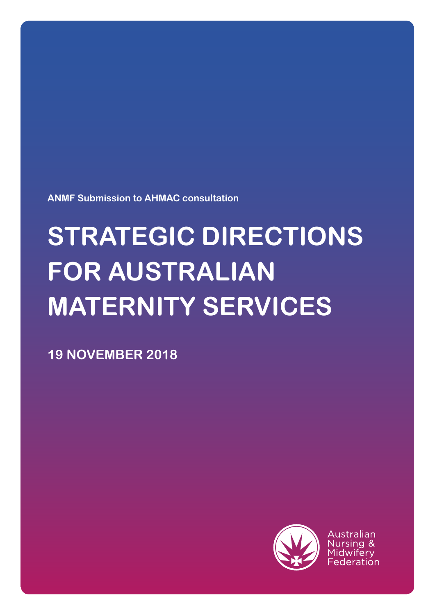**ANMF Submission to AHMAC consultation**

# **STRATEGIC DIRECTIONS FOR AUSTRALIAN MATERNITY SERVICES**

**19 NOVEMBER 2018**



Australian Nursing & Midwiferv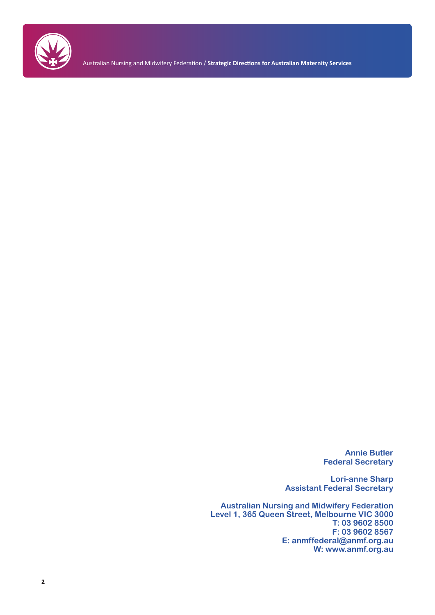

Australian Nursing and Midwifery Federation / **Strategic Directions for Australian Maternity Services**

**Annie Butler Federal Secretary**

**Lori-anne Sharp Assistant Federal Secretary**

**Australian Nursing and Midwifery Federation Level 1, 365 Queen Street, Melbourne VIC 3000 T: 03 9602 8500 F: 03 9602 8567 E: anmffederal@anmf.org.au W: www.anmf.org.au**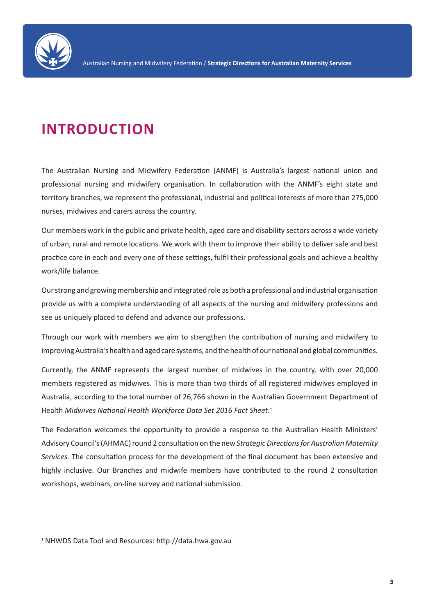

# **INTRODUCTION**

The Australian Nursing and Midwifery Federation (ANMF) is Australia's largest national union and professional nursing and midwifery organisation. In collaboration with the ANMF's eight state and territory branches, we represent the professional, industrial and political interests of more than 275,000 nurses, midwives and carers across the country.

Our members work in the public and private health, aged care and disability sectors across a wide variety of urban, rural and remote locations. We work with them to improve their ability to deliver safe and best practice care in each and every one of these settings, fulfil their professional goals and achieve a healthy work/life balance.

Our strong and growing membership and integrated role as both a professional and industrial organisation provide us with a complete understanding of all aspects of the nursing and midwifery professions and see us uniquely placed to defend and advance our professions.

Through our work with members we aim to strengthen the contribution of nursing and midwifery to improving Australia's health and aged care systems, and the health of our national and global communities.

Currently, the ANMF represents the largest number of midwives in the country, with over 20,000 members registered as midwives. This is more than two thirds of all registered midwives employed in Australia, according to the total number of 26,766 shown in the Australian Government Department of Health *Midwives National Health Workforce Data Set 2016 Fact Sheet*.1

The Federation welcomes the opportunity to provide a response to the Australian Health Ministers' Advisory Council's (AHMAC) round 2 consultation on the new *Strategic Directions for Australian Maternity Services.* The consultation process for the development of the final document has been extensive and highly inclusive. Our Branches and midwife members have contributed to the round 2 consultation workshops, webinars, on-line survey and national submission.

1 NHWDS Data Tool and Resources: http://data.hwa.gov.au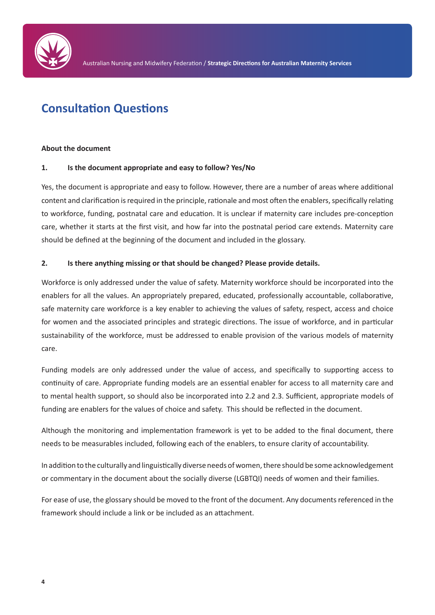

# **Consultation Questions**

#### **About the document**

#### **1. Is the document appropriate and easy to follow? Yes/No**

Yes, the document is appropriate and easy to follow. However, there are a number of areas where additional content and clarification is required in the principle, rationale and most often the enablers, specifically relating to workforce, funding, postnatal care and education. It is unclear if maternity care includes pre-conception care, whether it starts at the first visit, and how far into the postnatal period care extends. Maternity care should be defined at the beginning of the document and included in the glossary.

#### **2. Is there anything missing or that should be changed? Please provide details.**

Workforce is only addressed under the value of safety. Maternity workforce should be incorporated into the enablers for all the values. An appropriately prepared, educated, professionally accountable, collaborative, safe maternity care workforce is a key enabler to achieving the values of safety, respect, access and choice for women and the associated principles and strategic directions. The issue of workforce, and in particular sustainability of the workforce, must be addressed to enable provision of the various models of maternity care.

Funding models are only addressed under the value of access, and specifically to supporting access to continuity of care. Appropriate funding models are an essential enabler for access to all maternity care and to mental health support, so should also be incorporated into 2.2 and 2.3. Sufficient, appropriate models of funding are enablers for the values of choice and safety. This should be reflected in the document.

Although the monitoring and implementation framework is yet to be added to the final document, there needs to be measurables included, following each of the enablers, to ensure clarity of accountability.

In addition to the culturally and linguistically diverse needs of women, there should be some acknowledgement or commentary in the document about the socially diverse (LGBTQI) needs of women and their families.

For ease of use, the glossary should be moved to the front of the document. Any documents referenced in the framework should include a link or be included as an attachment.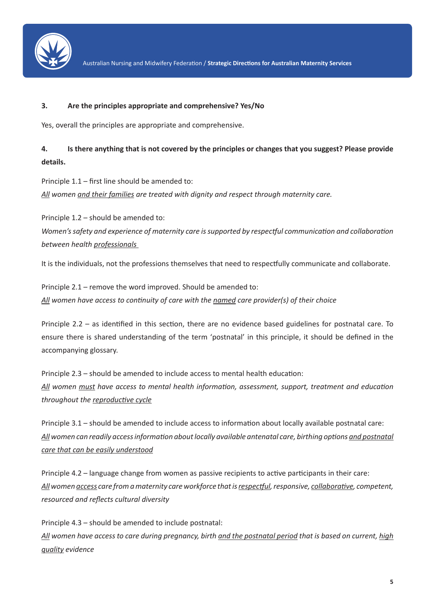

#### **3. Are the principles appropriate and comprehensive? Yes/No**

Yes, overall the principles are appropriate and comprehensive.

# **4. Is there anything that is not covered by the principles or changes that you suggest? Please provide details.**

Principle 1.1 – first line should be amended to: *All women and their families are treated with dignity and respect through maternity care.*

Principle 1.2 – should be amended to: *Women's safety and experience of maternity care is supported by respectful communication and collaboration between health professionals* 

It is the individuals, not the professions themselves that need to respectfully communicate and collaborate.

Principle 2.1 – remove the word improved. Should be amended to: *All women have access to continuity of care with the named care provider(s) of their choice*

Principle 2.2 – as identified in this section, there are no evidence based guidelines for postnatal care. To ensure there is shared understanding of the term 'postnatal' in this principle, it should be defined in the accompanying glossary.

Principle 2.3 – should be amended to include access to mental health education: *All women must have access to mental health information, assessment, support, treatment and education throughout the reproductive cycle*

Principle 3.1 – should be amended to include access to information about locally available postnatal care: *All women can readily access information about locally available antenatal care, birthing options and postnatal care that can be easily understood*

Principle 4.2 – language change from women as passive recipients to active participants in their care: *All women access care from a maternity care workforce that is respectful, responsive, collaborative, competent, resourced and reflects cultural diversity*

Principle 4.3 – should be amended to include postnatal: *All women have access to care during pregnancy, birth and the postnatal period that is based on current, high quality evidence*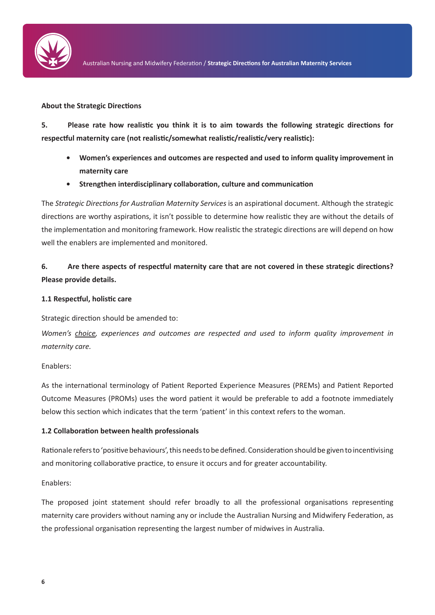

#### **About the Strategic Directions**

**5. Please rate how realistic you think it is to aim towards the following strategic directions for respectful maternity care (not realistic/somewhat realistic/realistic/very realistic):**

- **• Women's experiences and outcomes are respected and used to inform quality improvement in maternity care**
- **• Strengthen interdisciplinary collaboration, culture and communication**

The *Strategic Directions for Australian Maternity Services* is an aspirational document. Although the strategic directions are worthy aspirations, it isn't possible to determine how realistic they are without the details of the implementation and monitoring framework. How realistic the strategic directions are will depend on how well the enablers are implemented and monitored.

# **6. Are there aspects of respectful maternity care that are not covered in these strategic directions? Please provide details.**

#### **1.1 Respectful, holistic care**

Strategic direction should be amended to:

*Women's choice, experiences and outcomes are respected and used to inform quality improvement in maternity care.*

Enablers:

As the international terminology of Patient Reported Experience Measures (PREMs) and Patient Reported Outcome Measures (PROMs) uses the word patient it would be preferable to add a footnote immediately below this section which indicates that the term 'patient' in this context refers to the woman.

#### **1.2 Collaboration between health professionals**

Rationale refers to 'positive behaviours', this needs to be defined. Consideration should be given to incentivising and monitoring collaborative practice, to ensure it occurs and for greater accountability.

Enablers:

The proposed joint statement should refer broadly to all the professional organisations representing maternity care providers without naming any or include the Australian Nursing and Midwifery Federation, as the professional organisation representing the largest number of midwives in Australia.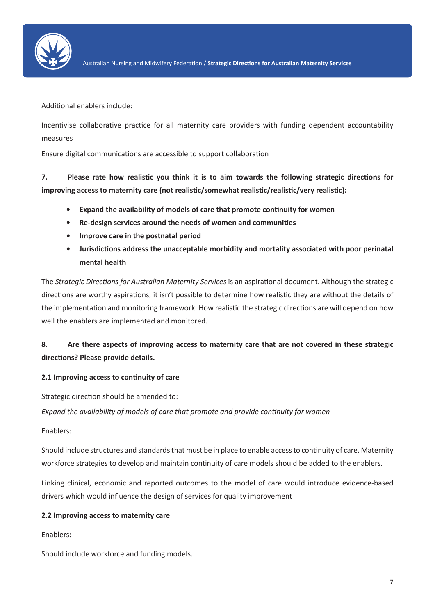

Additional enablers include:

Incentivise collaborative practice for all maternity care providers with funding dependent accountability measures

Ensure digital communications are accessible to support collaboration

**7. Please rate how realistic you think it is to aim towards the following strategic directions for improving access to maternity care (not realistic/somewhat realistic/realistic/very realistic):**

- **• Expand the availability of models of care that promote continuity for women**
- **• Re-design services around the needs of women and communities**
- **• Improve care in the postnatal period**
- **• Jurisdictions address the unacceptable morbidity and mortality associated with poor perinatal mental health**

The *Strategic Directions for Australian Maternity Services* is an aspirational document. Although the strategic directions are worthy aspirations, it isn't possible to determine how realistic they are without the details of the implementation and monitoring framework. How realistic the strategic directions are will depend on how well the enablers are implemented and monitored.

## **8. Are there aspects of improving access to maternity care that are not covered in these strategic directions? Please provide details.**

#### **2.1 Improving access to continuity of care**

Strategic direction should be amended to:

*Expand the availability of models of care that promote and provide continuity for women*

Enablers:

Should include structures and standards that must be in place to enable access to continuity of care. Maternity workforce strategies to develop and maintain continuity of care models should be added to the enablers.

Linking clinical, economic and reported outcomes to the model of care would introduce evidence-based drivers which would influence the design of services for quality improvement

#### **2.2 Improving access to maternity care**

Enablers:

Should include workforce and funding models.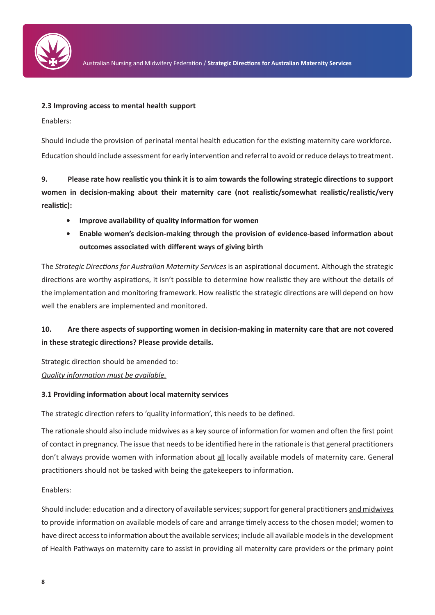

#### **2.3 Improving access to mental health support**

Enablers:

Should include the provision of perinatal mental health education for the existing maternity care workforce. Education should include assessment for early intervention and referral to avoid or reduce delays to treatment.

**9. Please rate how realistic you think it is to aim towards the following strategic directions to support women in decision-making about their maternity care (not realistic/somewhat realistic/realistic/very realistic):**

- **• Improve availability of quality information for women**
- **• Enable women's decision-making through the provision of evidence-based information about outcomes associated with different ways of giving birth**

The *Strategic Directions for Australian Maternity Services* is an aspirational document. Although the strategic directions are worthy aspirations, it isn't possible to determine how realistic they are without the details of the implementation and monitoring framework. How realistic the strategic directions are will depend on how well the enablers are implemented and monitored.

# **10. Are there aspects of supporting women in decision-making in maternity care that are not covered in these strategic directions? Please provide details.**

Strategic direction should be amended to: *Quality information must be available.*

#### **3.1 Providing information about local maternity services**

The strategic direction refers to 'quality information', this needs to be defined.

The rationale should also include midwives as a key source of information for women and often the first point of contact in pregnancy. The issue that needs to be identified here in the rationale is that general practitioners don't always provide women with information about all locally available models of maternity care. General practitioners should not be tasked with being the gatekeepers to information.

Enablers:

Should include: education and a directory of available services; support for general practitioners and midwives to provide information on available models of care and arrange timely access to the chosen model; women to have direct access to information about the available services; include all available models in the development of Health Pathways on maternity care to assist in providing all maternity care providers or the primary point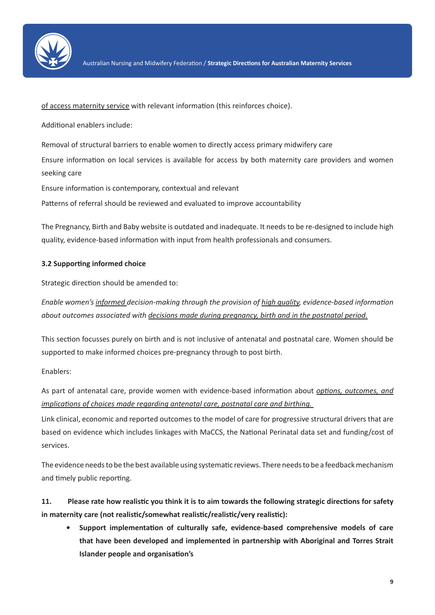

of access maternity service with relevant information (this reinforces choice).

Additional enablers include:

Removal of structural barriers to enable women to directly access primary midwifery care

Ensure information on local services is available for access by both maternity care providers and women seeking care

Ensure information is contemporary, contextual and relevant

Patterns of referral should be reviewed and evaluated to improve accountability

The Pregnancy, Birth and Baby website is outdated and inadequate. It needs to be re-designed to include high quality, evidence-based information with input from health professionals and consumers.

#### **3.2 Supporting informed choice**

Strategic direction should be amended to:

*Enable women's informed decision-making through the provision of high quality, evidence-based information about outcomes associated with decisions made during pregnancy, birth and in the postnatal period.*

This section focusses purely on birth and is not inclusive of antenatal and postnatal care. Women should be supported to make informed choices pre-pregnancy through to post birth.

Enablers:

As part of antenatal care, provide women with evidence-based information about *options, outcomes, and implications of choices made regarding antenatal care, postnatal care and birthing.* 

Link clinical, economic and reported outcomes to the model of care for progressive structural drivers that are based on evidence which includes linkages with MaCCS, the National Perinatal data set and funding/cost of services.

The evidence needs to be the best available using systematic reviews. There needs to be a feedback mechanism and timely public reporting.

**11. Please rate how realistic you think it is to aim towards the following strategic directions for safety in maternity care (not realistic/somewhat realistic/realistic/very realistic):**

**• Support implementation of culturally safe, evidence-based comprehensive models of care that have been developed and implemented in partnership with Aboriginal and Torres Strait Islander people and organisation's**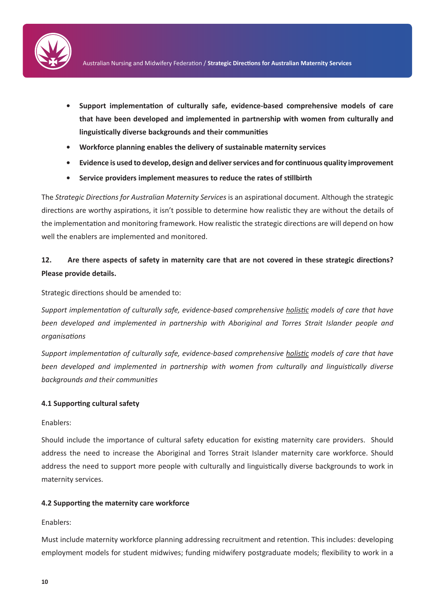

- **• Support implementation of culturally safe, evidence-based comprehensive models of care that have been developed and implemented in partnership with women from culturally and linguistically diverse backgrounds and their communities**
- **• Workforce planning enables the delivery of sustainable maternity services**
- **• Evidence is used to develop, design and deliver services and for continuous quality improvement**
- **• Service providers implement measures to reduce the rates of stillbirth**

The *Strategic Directions for Australian Maternity Services* is an aspirational document. Although the strategic directions are worthy aspirations, it isn't possible to determine how realistic they are without the details of the implementation and monitoring framework. How realistic the strategic directions are will depend on how well the enablers are implemented and monitored.

### **12. Are there aspects of safety in maternity care that are not covered in these strategic directions? Please provide details.**

Strategic directions should be amended to:

*Support implementation of culturally safe, evidence-based comprehensive holistic models of care that have been developed and implemented in partnership with Aboriginal and Torres Strait Islander people and organisations*

*Support implementation of culturally safe, evidence-based comprehensive holistic models of care that have been developed and implemented in partnership with women from culturally and linguistically diverse backgrounds and their communities*

#### **4.1 Supporting cultural safety**

#### Enablers:

Should include the importance of cultural safety education for existing maternity care providers. Should address the need to increase the Aboriginal and Torres Strait Islander maternity care workforce. Should address the need to support more people with culturally and linguistically diverse backgrounds to work in maternity services.

#### **4.2 Supporting the maternity care workforce**

#### Enablers:

Must include maternity workforce planning addressing recruitment and retention. This includes: developing employment models for student midwives; funding midwifery postgraduate models; flexibility to work in a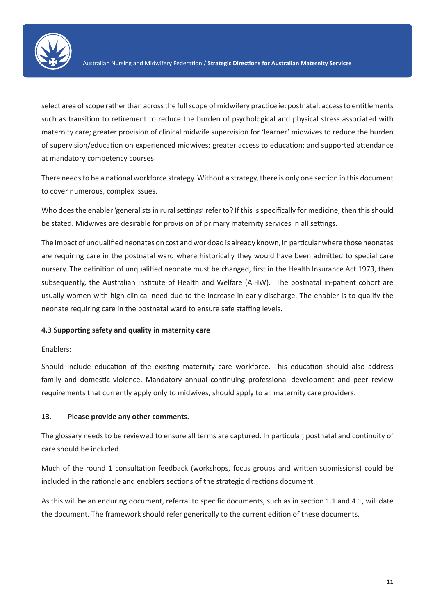

select area of scope rather than across the full scope of midwifery practice ie: postnatal; access to entitlements such as transition to retirement to reduce the burden of psychological and physical stress associated with maternity care; greater provision of clinical midwife supervision for 'learner' midwives to reduce the burden of supervision/education on experienced midwives; greater access to education; and supported attendance at mandatory competency courses

There needs to be a national workforce strategy. Without a strategy, there is only one section in this document to cover numerous, complex issues.

Who does the enabler 'generalists in rural settings' refer to? If this is specifically for medicine, then this should be stated. Midwives are desirable for provision of primary maternity services in all settings.

The impact of unqualified neonates on cost and workload is already known, in particular where those neonates are requiring care in the postnatal ward where historically they would have been admitted to special care nursery. The definition of unqualified neonate must be changed, first in the Health Insurance Act 1973, then subsequently, the Australian Institute of Health and Welfare (AIHW). The postnatal in-patient cohort are usually women with high clinical need due to the increase in early discharge. The enabler is to qualify the neonate requiring care in the postnatal ward to ensure safe staffing levels.

#### **4.3 Supporting safety and quality in maternity care**

#### Enablers:

Should include education of the existing maternity care workforce. This education should also address family and domestic violence. Mandatory annual continuing professional development and peer review requirements that currently apply only to midwives, should apply to all maternity care providers.

#### **13. Please provide any other comments.**

The glossary needs to be reviewed to ensure all terms are captured. In particular, postnatal and continuity of care should be included.

Much of the round 1 consultation feedback (workshops, focus groups and written submissions) could be included in the rationale and enablers sections of the strategic directions document.

As this will be an enduring document, referral to specific documents, such as in section 1.1 and 4.1, will date the document. The framework should refer generically to the current edition of these documents.